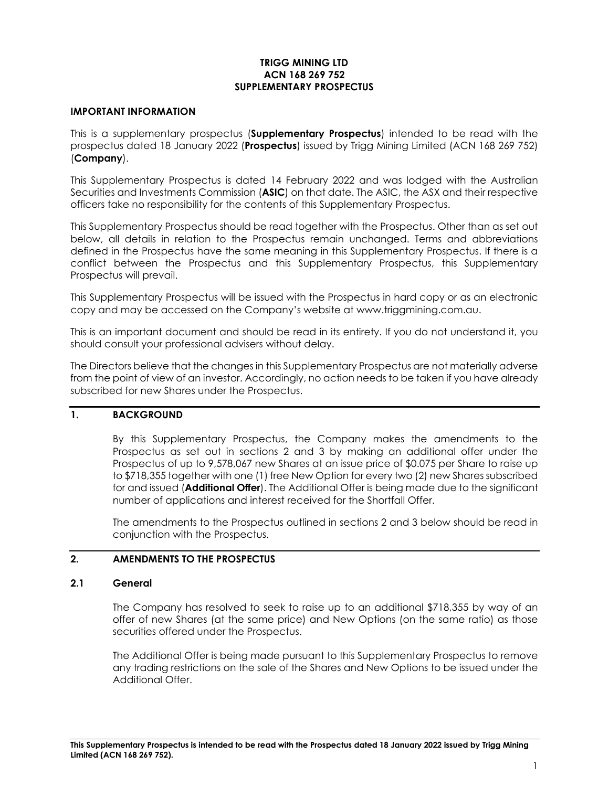## **TRIGG MINING LTD ACN 168 269 752 SUPPLEMENTARY PROSPECTUS**

### **IMPORTANT INFORMATION**

This is a supplementary prospectus (**Supplementary Prospectus**) intended to be read with the prospectus dated 18 January 2022 (**Prospectus**) issued by Trigg Mining Limited (ACN 168 269 752) (**Company**).

This Supplementary Prospectus is dated 14 February 2022 and was lodged with the Australian Securities and Investments Commission (**ASIC**) on that date. The ASIC, the ASX and their respective officers take no responsibility for the contents of this Supplementary Prospectus.

This Supplementary Prospectus should be read together with the Prospectus. Other than as set out below, all details in relation to the Prospectus remain unchanged. Terms and abbreviations defined in the Prospectus have the same meaning in this Supplementary Prospectus. If there is a conflict between the Prospectus and this Supplementary Prospectus, this Supplementary Prospectus will prevail.

This Supplementary Prospectus will be issued with the Prospectus in hard copy or as an electronic copy and may be accessed on the Company's website at www.triggmining.com.au.

This is an important document and should be read in its entirety. If you do not understand it, you should consult your professional advisers without delay.

The Directors believe that the changes in this Supplementary Prospectus are not materially adverse from the point of view of an investor. Accordingly, no action needs to be taken if you have already subscribed for new Shares under the Prospectus.

## **1. BACKGROUND**

By this Supplementary Prospectus, the Company makes the amendments to the Prospectus as set out in sections 2 and 3 by making an additional offer under the Prospectus of up to 9,578,067 new Shares at an issue price of \$0.075 per Share to raise up to \$718,355 together with one (1) free New Option for every two (2) new Shares subscribed for and issued (**Additional Offer**). The Additional Offer is being made due to the significant number of applications and interest received for the Shortfall Offer.

The amendments to the Prospectus outlined in sections 2 and 3 below should be read in conjunction with the Prospectus.

### **2. AMENDMENTS TO THE PROSPECTUS**

#### **2.1 General**

The Company has resolved to seek to raise up to an additional \$718,355 by way of an offer of new Shares (at the same price) and New Options (on the same ratio) as those securities offered under the Prospectus.

The Additional Offer is being made pursuant to this Supplementary Prospectus to remove any trading restrictions on the sale of the Shares and New Options to be issued under the Additional Offer.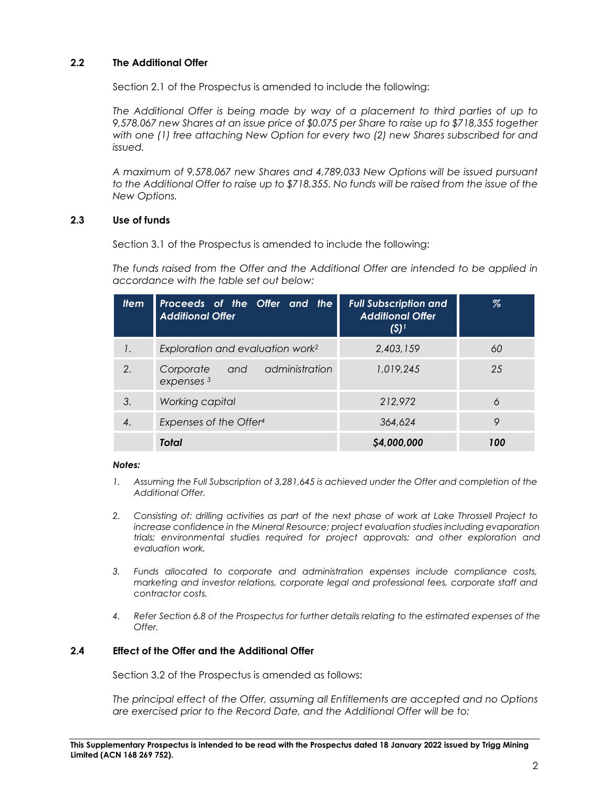# **2.2 The Additional Offer**

Section 2.1 of the Prospectus is amended to include the following:

*The Additional Offer is being made by way of a placement to third parties of up to 9,578,067 new Shares at an issue price of \$0.075 per Share to raise up to \$718,355 together with one (1) free attaching New Option for every two (2) new Shares subscribed for and issued.* 

*A maximum of 9,578,067 new Shares and 4,789,033 New Options will be issued pursuant to the Additional Offer to raise up to \$718,355. No funds will be raised from the issue of the New Options.*

# **2.3 Use of funds**

Section 3.1 of the Prospectus is amended to include the following:

*The funds raised from the Offer and the Additional Offer are intended to be applied in accordance with the table set out below:* 

| <b>Item</b> | Proceeds of the Offer and the<br><b>Additional Offer</b> | <b>Full Subscription and</b><br><b>Additional Offer</b><br>$(5)^{1}$ | $\%$ |
|-------------|----------------------------------------------------------|----------------------------------------------------------------------|------|
| 1.          | Exploration and evaluation work <sup>2</sup>             | 2,403,159                                                            | 60   |
| 2.          | administration<br>Corporate<br>and<br>expenses $3$       | 1.019.245                                                            | 25   |
| 3.          | Working capital                                          | 212,972                                                              | 6    |
| 4.          | Expenses of the Offer <sup>4</sup>                       | 364,624                                                              | 9    |
|             | Total                                                    | \$4,000,000                                                          | 100  |

#### *Notes:*

- *1. Assuming the Full Subscription of 3,281,645 is achieved under the Offer and completion of the Additional Offer.*
- *2. Consisting of: drilling activities as part of the next phase of work at Lake Throssell Project to increase confidence in the Mineral Resource; project evaluation studies including evaporation trials; environmental studies required for project approvals; and other exploration and evaluation work.*
- *3. Funds allocated to corporate and administration expenses include compliance costs, marketing and investor relations, corporate legal and professional fees, corporate staff and contractor costs.*
- *4. Refer Section 6.8 of the Prospectus for further details relating to the estimated expenses of the Offer.*

## **2.4 Effect of the Offer and the Additional Offer**

Section 3.2 of the Prospectus is amended as follows:

*The principal effect of the Offer, assuming all Entitlements are accepted and no Options are exercised prior to the Record Date, and the Additional Offer will be to:*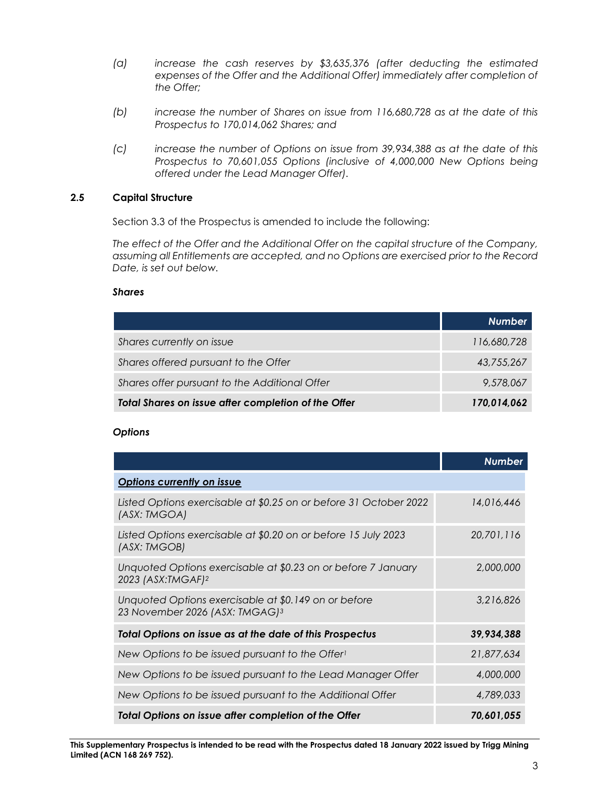- *(a) increase the cash reserves by \$3,635,376 (after deducting the estimated*  expenses of the Offer and the Additional Offer) immediately after completion of *the Offer;*
- *(b) increase the number of Shares on issue from 116,680,728 as at the date of this Prospectus to 170,014,062 Shares; and*
- *(c) increase the number of Options on issue from 39,934,388 as at the date of this Prospectus to 70,601,055 Options (inclusive of 4,000,000 New Options being offered under the Lead Manager Offer).*

### **2.5 Capital Structure**

Section 3.3 of the Prospectus is amended to include the following:

*The effect of the Offer and the Additional Offer on the capital structure of the Company, assuming all Entitlements are accepted, and no Options are exercised prior to the Record Date, is set out below.*

#### *Shares*

|                                                     | <b>Number</b> |
|-----------------------------------------------------|---------------|
| Shares currently on issue                           | 116,680,728   |
| Shares offered pursuant to the Offer                | 43,755,267    |
| Shares offer pursuant to the Additional Offer       | 9,578,067     |
| Total Shares on issue after completion of the Offer | 170,014,062   |

#### *Options*

|                                                                                                    | <b>Number</b> |
|----------------------------------------------------------------------------------------------------|---------------|
| Options currently on issue                                                                         |               |
| Listed Options exercisable at \$0.25 on or before 31 October 2022<br>(ASX: TMGOA)                  | 14,016,446    |
| Listed Options exercisable at \$0.20 on or before 15 July 2023<br>(ASX: TMGOB)                     | 20,701,116    |
| Unquoted Options exercisable at \$0.23 on or before 7 January<br>2023 (ASX:TMGAF) <sup>2</sup>     | 2,000,000     |
| Unquoted Options exercisable at \$0.149 on or before<br>23 November 2026 (ASX: TMGAG) <sup>3</sup> | 3,216,826     |
| Total Options on issue as at the date of this Prospectus                                           | 39,934,388    |
| New Options to be issued pursuant to the Offer <sup>1</sup>                                        | 21,877,634    |
| New Options to be issued pursuant to the Lead Manager Offer                                        | 4,000,000     |
| New Options to be issued pursuant to the Additional Offer                                          | 4,789,033     |
| Total Options on issue after completion of the Offer                                               | 70,601,055    |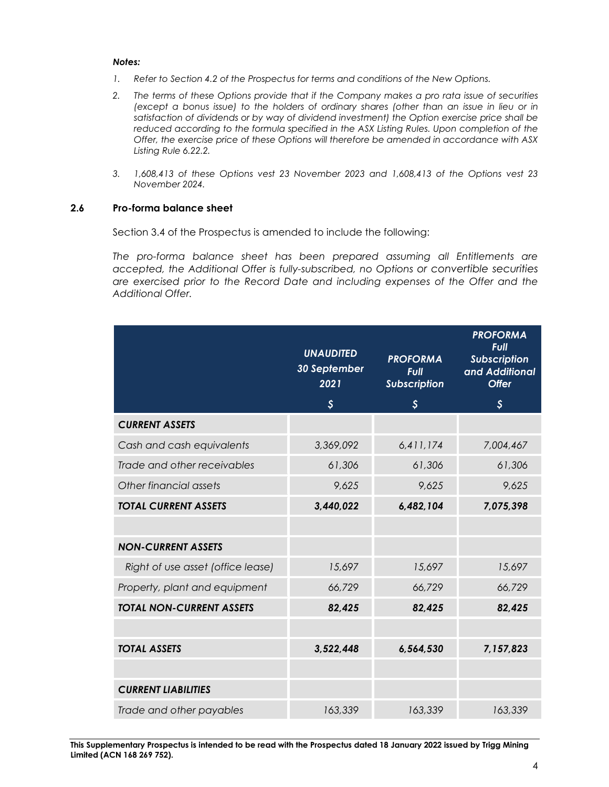#### *Notes:*

- *1. Refer to Section 4.2 of the Prospectus for terms and conditions of the New Options.*
- *2. The terms of these Options provide that if the Company makes a pro rata issue of securities (except a bonus issue) to the holders of ordinary shares (other than an issue in lieu or in satisfaction of dividends or by way of dividend investment) the Option exercise price shall be*  reduced according to the formula specified in the ASX Listing Rules. Upon completion of the *Offer, the exercise price of these Options will therefore be amended in accordance with ASX Listing Rule 6.22.2.*
- *3. 1,608,413 of these Options vest 23 November 2023 and 1,608,413 of the Options vest 23 November 2024.*

### **2.6 Pro-forma balance sheet**

Section 3.4 of the Prospectus is amended to include the following:

*The pro-forma balance sheet has been prepared assuming all Entitlements are accepted, the Additional Offer is fully-subscribed, no Options or convertible securities are exercised prior to the Record Date and including expenses of the Offer and the Additional Offer.*

|                                   | <b>UNAUDITED</b><br>30 September<br>2021 | <b>PROFORMA</b><br><b>Full</b><br><b>Subscription</b> | <b>PROFORMA</b><br><b>Full</b><br><b>Subscription</b><br>and Additional<br><b>Offer</b> |
|-----------------------------------|------------------------------------------|-------------------------------------------------------|-----------------------------------------------------------------------------------------|
|                                   | \$                                       | $\mathsf{S}$                                          | \$                                                                                      |
| <b>CURRENT ASSETS</b>             |                                          |                                                       |                                                                                         |
| Cash and cash equivalents         | 3,369,092                                | 6,411,174                                             | 7,004,467                                                                               |
| Trade and other receivables       | 61,306                                   | 61,306                                                | 61,306                                                                                  |
| Other financial assets            | 9,625                                    | 9,625                                                 | 9,625                                                                                   |
| <b>TOTAL CURRENT ASSETS</b>       | 3,440,022                                | 6,482,104                                             | 7,075,398                                                                               |
|                                   |                                          |                                                       |                                                                                         |
| <b>NON-CURRENT ASSETS</b>         |                                          |                                                       |                                                                                         |
| Right of use asset (office lease) | 15,697                                   | 15,697                                                | 15,697                                                                                  |
| Property, plant and equipment     | 66,729                                   | 66,729                                                | 66,729                                                                                  |
| <b>TOTAL NON-CURRENT ASSETS</b>   | 82,425                                   | 82,425                                                | 82,425                                                                                  |
|                                   |                                          |                                                       |                                                                                         |
| <b>TOTAL ASSETS</b>               | 3,522,448                                | 6,564,530                                             | 7,157,823                                                                               |
|                                   |                                          |                                                       |                                                                                         |
| <b>CURRENT LIABILITIES</b>        |                                          |                                                       |                                                                                         |
| Trade and other payables          | 163,339                                  | 163,339                                               | 163,339                                                                                 |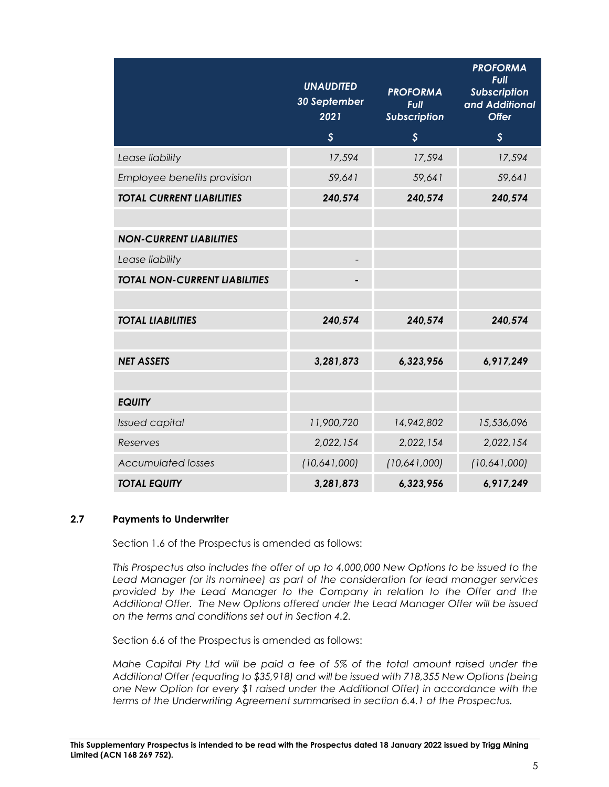|                                      | <b>UNAUDITED</b><br>30 September<br>2021 | <b>PROFORMA</b><br><b>Full</b><br><b>Subscription</b> | <b>PROFORMA</b><br><b>Full</b><br><b>Subscription</b><br>and Additional<br><b>Offer</b> |
|--------------------------------------|------------------------------------------|-------------------------------------------------------|-----------------------------------------------------------------------------------------|
|                                      | $\boldsymbol{\xi}$                       | $\boldsymbol{\mathsf{S}}$                             | $\boldsymbol{\mathsf{S}}$                                                               |
| Lease liability                      | 17,594                                   | 17,594                                                | 17,594                                                                                  |
| Employee benefits provision          | 59,641                                   | 59,641                                                | 59,641                                                                                  |
| <b>TOTAL CURRENT LIABILITIES</b>     | 240,574                                  | 240,574                                               | 240,574                                                                                 |
|                                      |                                          |                                                       |                                                                                         |
| <b>NON-CURRENT LIABILITIES</b>       |                                          |                                                       |                                                                                         |
| Lease liability                      |                                          |                                                       |                                                                                         |
| <b>TOTAL NON-CURRENT LIABILITIES</b> |                                          |                                                       |                                                                                         |
|                                      |                                          |                                                       |                                                                                         |
| <b>TOTAL LIABILITIES</b>             | 240,574                                  | 240,574                                               | 240,574                                                                                 |
|                                      |                                          |                                                       |                                                                                         |
| <b>NET ASSETS</b>                    | 3,281,873                                | 6,323,956                                             | 6,917,249                                                                               |
|                                      |                                          |                                                       |                                                                                         |
| <b>EQUITY</b>                        |                                          |                                                       |                                                                                         |
| Issued capital                       | 11,900,720                               | 14,942,802                                            | 15,536,096                                                                              |
| Reserves                             | 2,022,154                                | 2,022,154                                             | 2,022,154                                                                               |
| <b>Accumulated losses</b>            | (10,641,000)                             | (10,641,000)                                          | (10,641,000)                                                                            |
| <b>TOTAL EQUITY</b>                  | 3,281,873                                | 6,323,956                                             | 6,917,249                                                                               |

### **2.7 Payments to Underwriter**

Section 1.6 of the Prospectus is amended as follows:

*This Prospectus also includes the offer of up to 4,000,000 New Options to be issued to the Lead Manager (or its nominee) as part of the consideration for lead manager services provided by the Lead Manager to the Company in relation to the Offer and the Additional Offer. The New Options offered under the Lead Manager Offer will be issued on the terms and conditions set out in Section 4.2.*

Section 6.6 of the Prospectus is amended as follows:

*Mahe Capital Pty Ltd will be paid a fee of 5% of the total amount raised under the Additional Offer (equating to \$35,918) and will be issued with 718,355 New Options (being one New Option for every \$1 raised under the Additional Offer) in accordance with the terms of the Underwriting Agreement summarised in section 6.4.1 of the Prospectus.*